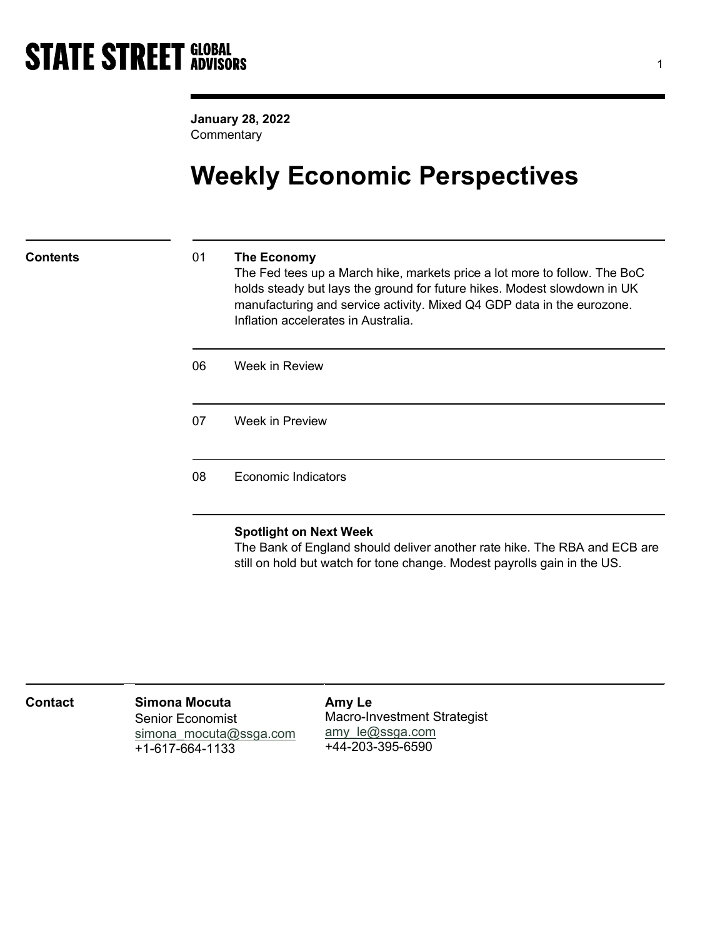January 28, 2022 **Commentary** 

# Weekly Economic Perspectives

## Contents 01 The Economy

The Fed tees up a March hike, markets price a lot more to follow. The BoC holds steady but lays the ground for future hikes. Modest slowdown in UK manufacturing and service activity. Mixed Q4 GDP data in the eurozone. Inflation accelerates in Australia.

06 Week in Review

07 Week in Preview

### 08 Economic Indicators

## Spotlight on Next Week

The Bank of England should deliver another rate hike. The RBA and ECB are still on hold but watch for tone change. Modest payrolls gain in the US.

| <b>Contact</b> | Simona Mocuta<br><b>Senior Economist</b><br>simona mocuta@ssga.com<br>+1-617-664-1133 | Amy Le<br>Macro-Investment Strategist<br>amy $le@ssga.com$<br>+44-203-395-6590 |  |
|----------------|---------------------------------------------------------------------------------------|--------------------------------------------------------------------------------|--|
|----------------|---------------------------------------------------------------------------------------|--------------------------------------------------------------------------------|--|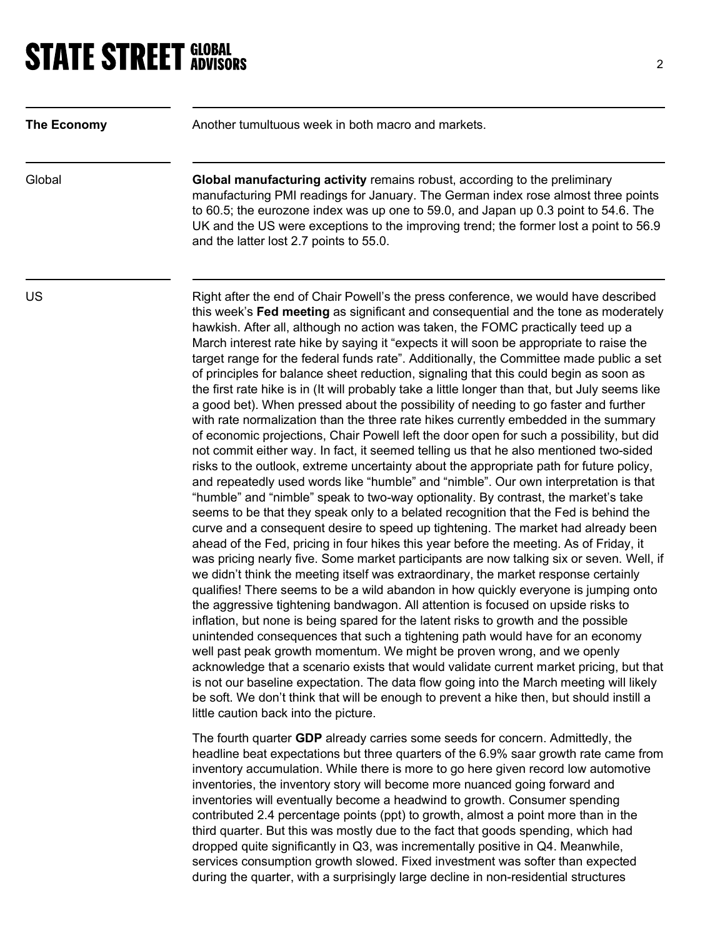# **STATE STREET GLOBAL STATE STREET GLOBAL**

| The Economy | Another tumultuous week in both macro and markets.                                                                                                                                                                                                                                                                                                                                                                                                                                                                                                                                                                                                                                                                                                                                                                                                                                                                                                                                                                                                                                                                                                                                                                                                                                                                                                                                                                                                                                                                                                                                                                                                                                                                                                                                                                                                                                                                                                                                                                                                                                                                                                                                                                                                                                                                                                                                                                                                                                                              |
|-------------|-----------------------------------------------------------------------------------------------------------------------------------------------------------------------------------------------------------------------------------------------------------------------------------------------------------------------------------------------------------------------------------------------------------------------------------------------------------------------------------------------------------------------------------------------------------------------------------------------------------------------------------------------------------------------------------------------------------------------------------------------------------------------------------------------------------------------------------------------------------------------------------------------------------------------------------------------------------------------------------------------------------------------------------------------------------------------------------------------------------------------------------------------------------------------------------------------------------------------------------------------------------------------------------------------------------------------------------------------------------------------------------------------------------------------------------------------------------------------------------------------------------------------------------------------------------------------------------------------------------------------------------------------------------------------------------------------------------------------------------------------------------------------------------------------------------------------------------------------------------------------------------------------------------------------------------------------------------------------------------------------------------------------------------------------------------------------------------------------------------------------------------------------------------------------------------------------------------------------------------------------------------------------------------------------------------------------------------------------------------------------------------------------------------------------------------------------------------------------------------------------------------------|
| Global      | Global manufacturing activity remains robust, according to the preliminary<br>manufacturing PMI readings for January. The German index rose almost three points<br>to 60.5; the eurozone index was up one to 59.0, and Japan up 0.3 point to 54.6. The<br>UK and the US were exceptions to the improving trend; the former lost a point to 56.9<br>and the latter lost 2.7 points to 55.0.                                                                                                                                                                                                                                                                                                                                                                                                                                                                                                                                                                                                                                                                                                                                                                                                                                                                                                                                                                                                                                                                                                                                                                                                                                                                                                                                                                                                                                                                                                                                                                                                                                                                                                                                                                                                                                                                                                                                                                                                                                                                                                                      |
| US          | Right after the end of Chair Powell's the press conference, we would have described<br>this week's Fed meeting as significant and consequential and the tone as moderately<br>hawkish. After all, although no action was taken, the FOMC practically teed up a<br>March interest rate hike by saying it "expects it will soon be appropriate to raise the<br>target range for the federal funds rate". Additionally, the Committee made public a set<br>of principles for balance sheet reduction, signaling that this could begin as soon as<br>the first rate hike is in (It will probably take a little longer than that, but July seems like<br>a good bet). When pressed about the possibility of needing to go faster and further<br>with rate normalization than the three rate hikes currently embedded in the summary<br>of economic projections, Chair Powell left the door open for such a possibility, but did<br>not commit either way. In fact, it seemed telling us that he also mentioned two-sided<br>risks to the outlook, extreme uncertainty about the appropriate path for future policy,<br>and repeatedly used words like "humble" and "nimble". Our own interpretation is that<br>"humble" and "nimble" speak to two-way optionality. By contrast, the market's take<br>seems to be that they speak only to a belated recognition that the Fed is behind the<br>curve and a consequent desire to speed up tightening. The market had already been<br>ahead of the Fed, pricing in four hikes this year before the meeting. As of Friday, it<br>was pricing nearly five. Some market participants are now talking six or seven. Well, if<br>we didn't think the meeting itself was extraordinary, the market response certainly<br>qualifies! There seems to be a wild abandon in how quickly everyone is jumping onto<br>the aggressive tightening bandwagon. All attention is focused on upside risks to<br>inflation, but none is being spared for the latent risks to growth and the possible<br>unintended consequences that such a tightening path would have for an economy<br>well past peak growth momentum. We might be proven wrong, and we openly<br>acknowledge that a scenario exists that would validate current market pricing, but that<br>is not our baseline expectation. The data flow going into the March meeting will likely<br>be soft. We don't think that will be enough to prevent a hike then, but should instill a<br>little caution back into the picture. |
|             | The fourth quarter GDP already carries some seeds for concern. Admittedly, the<br>headline beat expectations but three quarters of the 6.9% saar growth rate came from<br>inventory accumulation. While there is more to go here given record low automotive<br>inventories, the inventory story will become more nuanced going forward and<br>inventories will eventually become a headwind to growth. Consumer spending<br>contributed 2.4 percentage points (ppt) to growth, almost a point more than in the<br>third quarter. But this was mostly due to the fact that goods spending, which had                                                                                                                                                                                                                                                                                                                                                                                                                                                                                                                                                                                                                                                                                                                                                                                                                                                                                                                                                                                                                                                                                                                                                                                                                                                                                                                                                                                                                                                                                                                                                                                                                                                                                                                                                                                                                                                                                                            |

dropped quite significantly in Q3, was incrementally positive in Q4. Meanwhile, services consumption growth slowed. Fixed investment was softer than expected during the quarter, with a surprisingly large decline in non-residential structures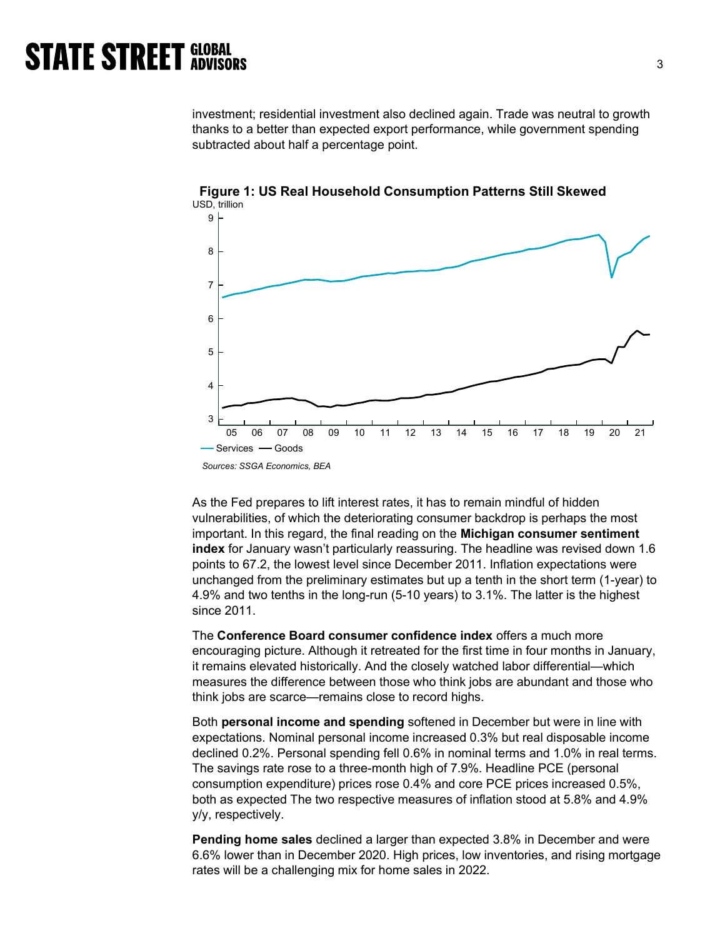investment; residential investment also declined again. Trade was neutral to growth thanks to a better than expected export performance, while government spending subtracted about half a percentage point.



Figure 1: US Real Household Consumption Patterns Still Skewed USD, trillion

As the Fed prepares to lift interest rates, it has to remain mindful of hidden vulnerabilities, of which the deteriorating consumer backdrop is perhaps the most important. In this regard, the final reading on the Michigan consumer sentiment index for January wasn't particularly reassuring. The headline was revised down 1.6 points to 67.2, the lowest level since December 2011. Inflation expectations were unchanged from the preliminary estimates but up a tenth in the short term (1-year) to 4.9% and two tenths in the long-run (5-10 years) to 3.1%. The latter is the highest since 2011.

The Conference Board consumer confidence index offers a much more encouraging picture. Although it retreated for the first time in four months in January, it remains elevated historically. And the closely watched labor differential—which measures the difference between those who think jobs are abundant and those who think jobs are scarce—remains close to record highs.

Both personal income and spending softened in December but were in line with expectations. Nominal personal income increased 0.3% but real disposable income declined 0.2%. Personal spending fell 0.6% in nominal terms and 1.0% in real terms. The savings rate rose to a three-month high of 7.9%. Headline PCE (personal consumption expenditure) prices rose 0.4% and core PCE prices increased 0.5%, both as expected The two respective measures of inflation stood at 5.8% and 4.9% y/y, respectively.

Pending home sales declined a larger than expected 3.8% in December and were 6.6% lower than in December 2020. High prices, low inventories, and rising mortgage rates will be a challenging mix for home sales in 2022.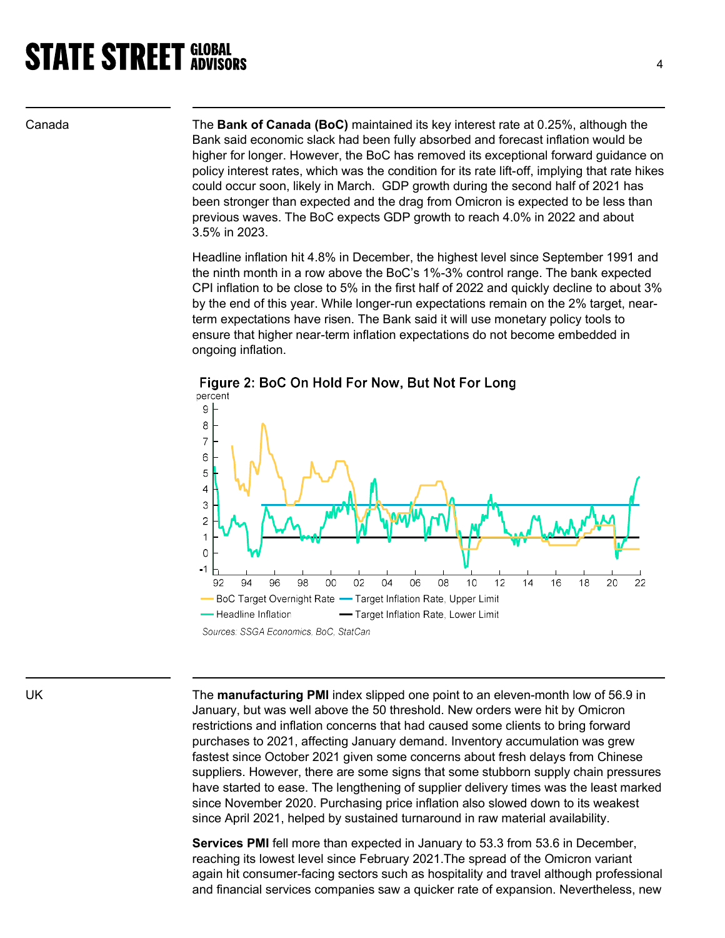Canada The Bank of Canada (BoC) maintained its key interest rate at 0.25%, although the Bank said economic slack had been fully absorbed and forecast inflation would be higher for longer. However, the BoC has removed its exceptional forward guidance on policy interest rates, which was the condition for its rate lift-off, implying that rate hikes could occur soon, likely in March. GDP growth during the second half of 2021 has been stronger than expected and the drag from Omicron is expected to be less than previous waves. The BoC expects GDP growth to reach 4.0% in 2022 and about 3.5% in 2023.

> Headline inflation hit 4.8% in December, the highest level since September 1991 and the ninth month in a row above the BoC's 1%-3% control range. The bank expected CPI inflation to be close to 5% in the first half of 2022 and quickly decline to about 3% by the end of this year. While longer-run expectations remain on the 2% target, nearterm expectations have risen. The Bank said it will use monetary policy tools to ensure that higher near-term inflation expectations do not become embedded in ongoing inflation.



Figure 2: BoC On Hold For Now, But Not For Long

Sources: SSGA Economics, BoC, StatCan

UK The manufacturing PMI index slipped one point to an eleven-month low of 56.9 in January, but was well above the 50 threshold. New orders were hit by Omicron restrictions and inflation concerns that had caused some clients to bring forward purchases to 2021, affecting January demand. Inventory accumulation was grew fastest since October 2021 given some concerns about fresh delays from Chinese suppliers. However, there are some signs that some stubborn supply chain pressures have started to ease. The lengthening of supplier delivery times was the least marked since November 2020. Purchasing price inflation also slowed down to its weakest since April 2021, helped by sustained turnaround in raw material availability.

> Services PMI fell more than expected in January to 53.3 from 53.6 in December, reaching its lowest level since February 2021.The spread of the Omicron variant again hit consumer-facing sectors such as hospitality and travel although professional and financial services companies saw a quicker rate of expansion. Nevertheless, new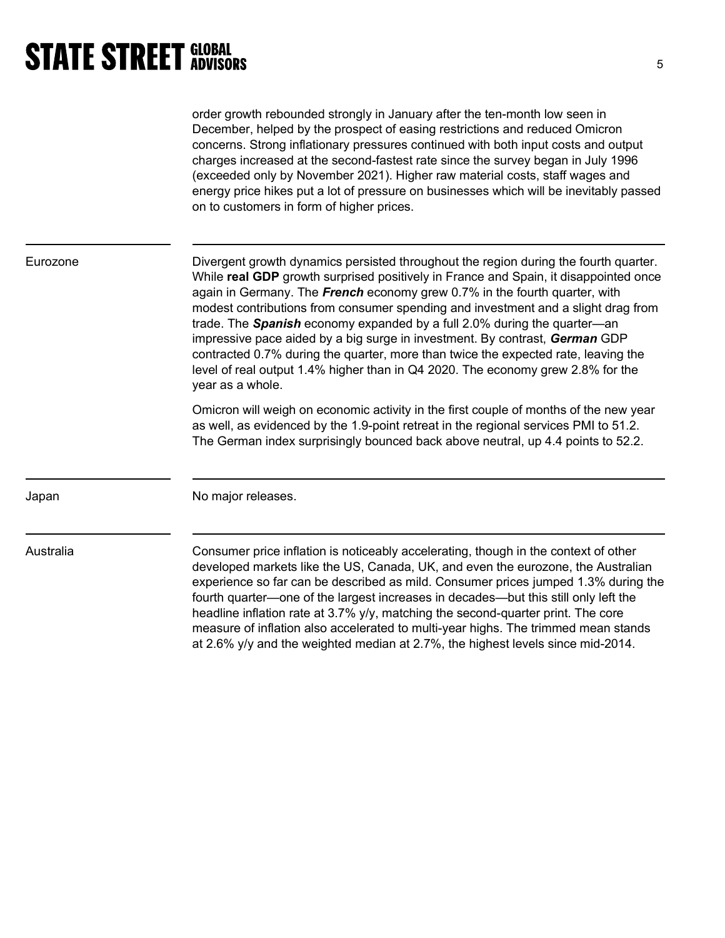order growth rebounded strongly in January after the ten-month low seen in December, helped by the prospect of easing restrictions and reduced Omicron concerns. Strong inflationary pressures continued with both input costs and output charges increased at the second-fastest rate since the survey began in July 1996 (exceeded only by November 2021). Higher raw material costs, staff wages and energy price hikes put a lot of pressure on businesses which will be inevitably passed on to customers in form of higher prices.

Eurozone Divergent growth dynamics persisted throughout the region during the fourth quarter. While **real GDP** growth surprised positively in France and Spain, it disappointed once again in Germany. The French economy grew 0.7% in the fourth quarter, with modest contributions from consumer spending and investment and a slight drag from trade. The **Spanish** economy expanded by a full 2.0% during the quarter—an impressive pace aided by a big surge in investment. By contrast, German GDP contracted 0.7% during the quarter, more than twice the expected rate, leaving the level of real output 1.4% higher than in Q4 2020. The economy grew 2.8% for the year as a whole.

> Omicron will weigh on economic activity in the first couple of months of the new year as well, as evidenced by the 1.9-point retreat in the regional services PMI to 51.2. The German index surprisingly bounced back above neutral, up 4.4 points to 52.2.

Japan No major releases.

Australia Consumer price inflation is noticeably accelerating, though in the context of other developed markets like the US, Canada, UK, and even the eurozone, the Australian experience so far can be described as mild. Consumer prices jumped 1.3% during the fourth quarter—one of the largest increases in decades—but this still only left the headline inflation rate at 3.7% y/y, matching the second-quarter print. The core measure of inflation also accelerated to multi-year highs. The trimmed mean stands at 2.6% y/y and the weighted median at 2.7%, the highest levels since mid-2014.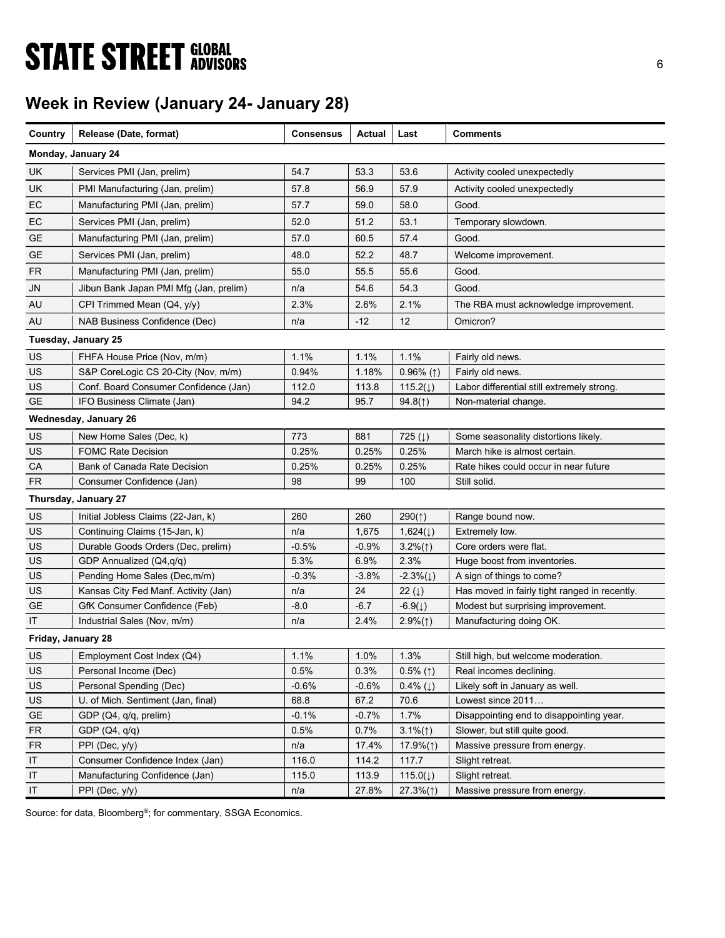# **STATE STREET GLOBAL STATE STREET GLOBAL**

# Week in Review (January 24- January 28)

| Country            | Release (Date, format)                 | <b>Consensus</b> | Actual  | Last                     | <b>Comments</b>                               |
|--------------------|----------------------------------------|------------------|---------|--------------------------|-----------------------------------------------|
|                    | Monday, January 24                     |                  |         |                          |                                               |
| UK.                | Services PMI (Jan, prelim)             | 54.7             | 53.3    | 53.6                     | Activity cooled unexpectedly                  |
| UK                 | PMI Manufacturing (Jan, prelim)        | 57.8             | 56.9    | 57.9                     | Activity cooled unexpectedly                  |
| EC                 | Manufacturing PMI (Jan, prelim)        | 57.7             | 59.0    | 58.0                     | Good.                                         |
| EC                 | Services PMI (Jan, prelim)             | 52.0             | 51.2    | 53.1                     | Temporary slowdown.                           |
| GE                 | Manufacturing PMI (Jan, prelim)        | 57.0             | 60.5    | 57.4                     | Good.                                         |
| GE                 | Services PMI (Jan, prelim)             | 48.0             | 52.2    | 48.7                     | Welcome improvement.                          |
| FR.                | Manufacturing PMI (Jan, prelim)        | 55.0             | 55.5    | 55.6                     | Good.                                         |
| JN                 | Jibun Bank Japan PMI Mfg (Jan, prelim) | n/a              | 54.6    | 54.3                     | Good.                                         |
| AU                 | CPI Trimmed Mean (Q4, y/y)             | 2.3%             | 2.6%    | 2.1%                     | The RBA must acknowledge improvement.         |
| AU                 | NAB Business Confidence (Dec)          | n/a              | $-12$   | 12                       | Omicron?                                      |
|                    | Tuesday, January 25                    |                  |         |                          |                                               |
|                    |                                        |                  |         |                          |                                               |
| US                 | FHFA House Price (Nov, m/m)            | 1.1%             | 1.1%    | 1.1%                     | Fairly old news.                              |
| US                 | S&P CoreLogic CS 20-City (Nov, m/m)    | 0.94%            | 1.18%   | $0.96\%$ (1)             | Fairly old news.                              |
| US                 | Conf. Board Consumer Confidence (Jan)  | 112.0            | 113.8   | 115.2(1)                 | Labor differential still extremely strong.    |
| GE                 | IFO Business Climate (Jan)             | 94.2             | 95.7    | 94.8(1)                  | Non-material change.                          |
|                    | Wednesday, January 26                  |                  |         |                          |                                               |
| US                 | New Home Sales (Dec, k)                | 773              | 881     | 725 $(1)$                | Some seasonality distortions likely.          |
| US                 | <b>FOMC Rate Decision</b>              | 0.25%            | 0.25%   | 0.25%                    | March hike is almost certain.                 |
| CA                 | Bank of Canada Rate Decision           | 0.25%            | 0.25%   | 0.25%                    | Rate hikes could occur in near future         |
| <b>FR</b>          | Consumer Confidence (Jan)              | 98               | 99      | 100                      | Still solid.                                  |
|                    | Thursday, January 27                   |                  |         |                          |                                               |
| US                 | Initial Jobless Claims (22-Jan, k)     | 260              | 260     | 290(1)                   | Range bound now.                              |
| US                 | Continuing Claims (15-Jan, k)          | n/a              | 1,675   | 1,624(1)                 | Extremely low.                                |
| US                 | Durable Goods Orders (Dec, prelim)     | $-0.5%$          | $-0.9%$ | $3.2\%(\uparrow)$        | Core orders were flat.                        |
| US                 | GDP Annualized (Q4,q/q)                | 5.3%             | 6.9%    | 2.3%                     | Huge boost from inventories.                  |
| US                 | Pending Home Sales (Dec, m/m)          | $-0.3%$          | $-3.8%$ | $-2.3\%(\downarrow)$     | A sign of things to come?                     |
| US                 | Kansas City Fed Manf. Activity (Jan)   | n/a              | 24      | 22 $(\downarrow)$        | Has moved in fairly tight ranged in recently. |
| <b>GE</b>          | GfK Consumer Confidence (Feb)          | $-8.0$           | $-6.7$  | $-6.9(1)$                | Modest but surprising improvement.            |
| IT                 | Industrial Sales (Nov, m/m)            | n/a              | 2.4%    | $2.9\%(\uparrow)$        | Manufacturing doing OK.                       |
| Friday, January 28 |                                        |                  |         |                          |                                               |
| US                 | Employment Cost Index (Q4)             | 1.1%             | 1.0%    | 1.3%                     | Still high, but welcome moderation.           |
| US                 | Personal Income (Dec)                  | 0.5%             | 0.3%    | $0.5\%$ (1)              | Real incomes declining.                       |
| US                 | Personal Spending (Dec)                | $-0.6%$          | $-0.6%$ | $0.4\%$ ( $\downarrow$ ) | Likely soft in January as well.               |
| US                 | U. of Mich. Sentiment (Jan, final)     | 68.8             | 67.2    | 70.6                     | Lowest since 2011                             |
| <b>GE</b>          | GDP (Q4, q/q, prelim)                  | $-0.1%$          | $-0.7%$ | 1.7%                     | Disappointing end to disappointing year.      |
| <b>FR</b>          | GDP (Q4, q/q)                          | 0.5%             | 0.7%    | $3.1\%(\uparrow)$        | Slower, but still quite good.                 |
| <b>FR</b>          | PPI (Dec, y/y)                         | n/a              | 17.4%   | $17.9\%(\uparrow)$       | Massive pressure from energy.                 |
| IT                 | Consumer Confidence Index (Jan)        | 116.0            | 114.2   | 117.7                    | Slight retreat.                               |
| IT                 | Manufacturing Confidence (Jan)         | 115.0            | 113.9   | 115.0(1)                 | Slight retreat.                               |
| IT                 | PPI (Dec, y/y)                         | n/a              | 27.8%   | $27.3\%(\uparrow)$       | Massive pressure from energy.                 |

Source: for data, Bloomberg<sup>®</sup>; for commentary, SSGA Economics.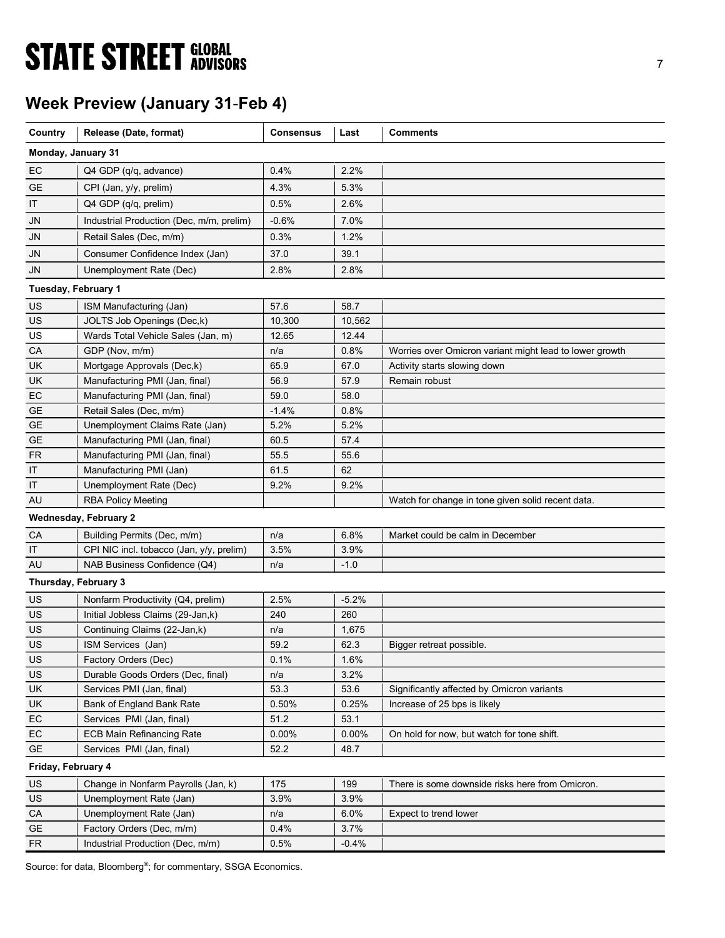# **STATE STREET GLOBAL STATE STREET GLOBAL**

# Week Preview (January 31-Feb 4)

| Country             | Release (Date, format)                                    | <b>Consensus</b> | Last         | <b>Comments</b>                                         |
|---------------------|-----------------------------------------------------------|------------------|--------------|---------------------------------------------------------|
| Monday, January 31  |                                                           |                  |              |                                                         |
| EC                  | Q4 GDP (q/q, advance)                                     | 0.4%             | 2.2%         |                                                         |
| GE                  | CPI (Jan, y/y, prelim)                                    | 4.3%             | 5.3%         |                                                         |
| ΙT                  | Q4 GDP (q/q, prelim)                                      | 0.5%             | 2.6%         |                                                         |
| JN                  | Industrial Production (Dec, m/m, prelim)                  | $-0.6%$          | 7.0%         |                                                         |
| JN                  | Retail Sales (Dec, m/m)                                   | 0.3%             | 1.2%         |                                                         |
| JN                  | Consumer Confidence Index (Jan)                           | 37.0             | 39.1         |                                                         |
| JN                  | Unemployment Rate (Dec)                                   | 2.8%             | 2.8%         |                                                         |
|                     |                                                           |                  |              |                                                         |
| Tuesday, February 1 |                                                           |                  |              |                                                         |
| US                  | ISM Manufacturing (Jan)                                   | 57.6             | 58.7         |                                                         |
| US                  | JOLTS Job Openings (Dec,k)                                | 10,300           | 10,562       |                                                         |
| US                  | Wards Total Vehicle Sales (Jan, m)                        | 12.65            | 12.44        |                                                         |
| CA                  | GDP (Nov, m/m)                                            | n/a              | 0.8%         | Worries over Omicron variant might lead to lower growth |
| UK                  | Mortgage Approvals (Dec,k)                                | 65.9             | 67.0         | Activity starts slowing down                            |
| UK                  | Manufacturing PMI (Jan, final)                            | 56.9             | 57.9         | Remain robust                                           |
| EC                  | Manufacturing PMI (Jan, final)<br>Retail Sales (Dec, m/m) | 59.0             | 58.0         |                                                         |
| GE<br><b>GE</b>     | Unemployment Claims Rate (Jan)                            | $-1.4%$<br>5.2%  | 0.8%<br>5.2% |                                                         |
| GE                  | Manufacturing PMI (Jan, final)                            | 60.5             | 57.4         |                                                         |
| FR                  | Manufacturing PMI (Jan, final)                            | 55.5             | 55.6         |                                                         |
| IT                  | Manufacturing PMI (Jan)                                   | 61.5             | 62           |                                                         |
| IT                  | Unemployment Rate (Dec)                                   | 9.2%             | 9.2%         |                                                         |
| <b>AU</b>           | <b>RBA Policy Meeting</b>                                 |                  |              | Watch for change in tone given solid recent data.       |
|                     | <b>Wednesday, February 2</b>                              |                  |              |                                                         |
| СA                  | Building Permits (Dec, m/m)                               | n/a              | 6.8%         | Market could be calm in December                        |
| ΙT                  | CPI NIC incl. tobacco (Jan, y/y, prelim)                  | 3.5%             | 3.9%         |                                                         |
| <b>AU</b>           | NAB Business Confidence (Q4)                              | n/a              | $-1.0$       |                                                         |
|                     | Thursday, February 3                                      |                  |              |                                                         |
| US                  | Nonfarm Productivity (Q4, prelim)                         | 2.5%             | $-5.2%$      |                                                         |
| US                  | Initial Jobless Claims (29-Jan,k)                         | 240              | 260          |                                                         |
| US                  | Continuing Claims (22-Jan,k)                              | n/a              | 1,675        |                                                         |
| US                  | ISM Services (Jan)                                        | 59.2             | 62.3         | Bigger retreat possible.                                |
| US                  | Factory Orders (Dec)                                      | 0.1%             | 1.6%         |                                                         |
| US                  | Durable Goods Orders (Dec, final)                         | n/a              | 3.2%         |                                                         |
| UK                  | Services PMI (Jan, final)                                 | 53.3             | 53.6         | Significantly affected by Omicron variants              |
| UK                  | Bank of England Bank Rate                                 | 0.50%            | 0.25%        | Increase of 25 bps is likely                            |
| EC                  | Services PMI (Jan, final)                                 | 51.2             | 53.1         |                                                         |
| EC                  | <b>ECB Main Refinancing Rate</b>                          | 0.00%            | 0.00%        | On hold for now, but watch for tone shift.              |
| GE                  | Services PMI (Jan, final)                                 | 52.2             | 48.7         |                                                         |
| Friday, February 4  |                                                           |                  |              |                                                         |
| US                  | Change in Nonfarm Payrolls (Jan, k)                       | 175              | 199          | There is some downside risks here from Omicron.         |
| <b>US</b>           | Unemployment Rate (Jan)                                   | 3.9%             | 3.9%         |                                                         |
| CA                  | Unemployment Rate (Jan)                                   | n/a              | 6.0%         | Expect to trend lower                                   |
| <b>GE</b>           | Factory Orders (Dec, m/m)                                 | 0.4%             | 3.7%         |                                                         |
| ${\sf FR}$          | Industrial Production (Dec, m/m)                          | 0.5%             | $-0.4%$      |                                                         |

Source: for data, Bloomberg<sup>®</sup>; for commentary, SSGA Economics.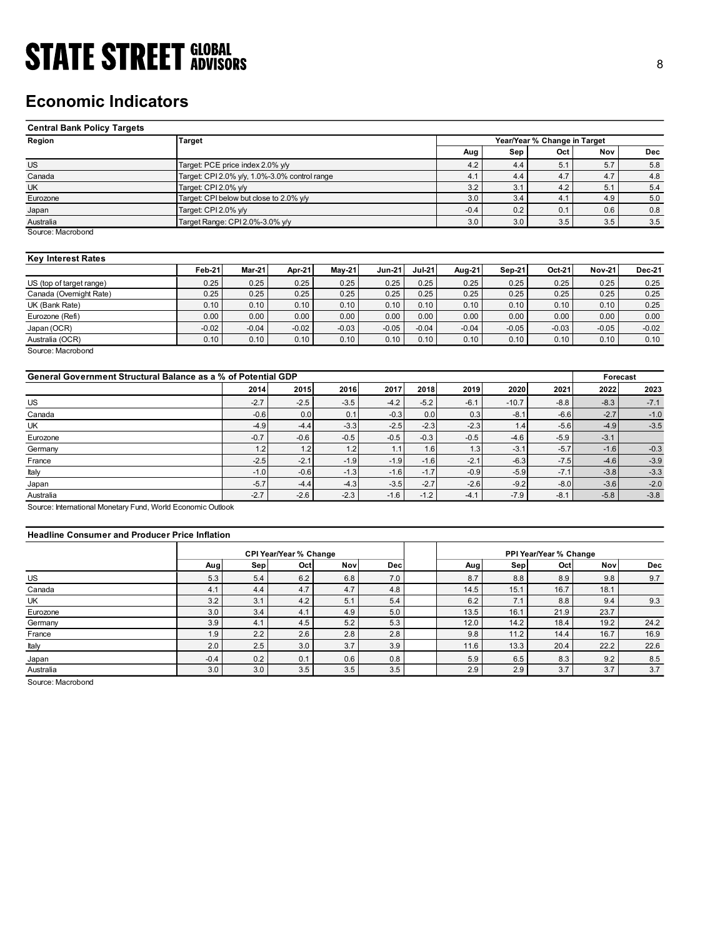# Economic Indicators

| <b>STATE STREET GLOBAL</b>                                    |                                                                       |         |         |                 |                 |               |            |            |                              |               |            |
|---------------------------------------------------------------|-----------------------------------------------------------------------|---------|---------|-----------------|-----------------|---------------|------------|------------|------------------------------|---------------|------------|
|                                                               |                                                                       |         |         |                 |                 |               |            |            |                              |               | 8          |
|                                                               |                                                                       |         |         |                 |                 |               |            |            |                              |               |            |
|                                                               |                                                                       |         |         |                 |                 |               |            |            |                              |               |            |
| <b>Economic Indicators</b>                                    |                                                                       |         |         |                 |                 |               |            |            |                              |               |            |
|                                                               |                                                                       |         |         |                 |                 |               |            |            |                              |               |            |
| <b>Central Bank Policy Targets</b>                            |                                                                       |         |         |                 |                 |               |            |            |                              |               |            |
| Region                                                        | <b>Target</b>                                                         |         |         |                 |                 |               |            |            | Year/Year % Change in Target |               |            |
|                                                               |                                                                       |         |         |                 |                 |               | Aug        | Sep        | Oct                          | Nov           | <b>Dec</b> |
| $\overline{US}$                                               | Target: PCE price index 2.0% y/y                                      |         |         |                 |                 |               | 4.2        | 4.4        | 5.1                          | 5.7           | 5.8        |
| Canada<br>UK                                                  | Target: CPI 2.0% y/y, 1.0%-3.0% control range<br>Target: CPI 2.0% y/y |         |         |                 |                 |               | 4.1<br>3.2 | 4.4<br>3.1 | 4.7<br>4.2                   | 4.7<br>5.1    | 4.8<br>5.4 |
| Eurozone                                                      | Target: CPI below but close to 2.0% y/y                               |         |         |                 |                 |               | 3.0        | 3.4        | 4.1                          | 4.9           | 5.0        |
| Japan                                                         | Target: CPI 2.0% y/y                                                  |         |         |                 |                 |               | $-0.4$     | 0.2        | 0.1                          | 0.6           | 0.8        |
| Australia                                                     | Target Range: CPI 2.0%-3.0% y/y                                       |         |         |                 |                 |               | 3.0        | 3.0        | $3.5\,$                      | 3.5           | 3.5        |
| Source: Macrobond                                             |                                                                       |         |         |                 |                 |               |            |            |                              |               |            |
|                                                               |                                                                       |         |         |                 |                 |               |            |            |                              |               |            |
| <b>Key Interest Rates</b>                                     |                                                                       |         |         |                 |                 |               |            |            |                              |               |            |
|                                                               | Feb-21                                                                | Mar-21  | Apr-21  | <b>May-21</b>   | <b>Jun-21</b>   | <b>Jul-21</b> | Aug-21     | Sep-21     | Oct-21                       | <b>Nov-21</b> | Dec-21     |
| US (top of target range)                                      | 0.25                                                                  | 0.25    | 0.25    | 0.25            | 0.25            | 0.25          | 0.25       | 0.25       | 0.25                         | 0.25          | 0.25       |
| Canada (Overnight Rate)                                       | 0.25                                                                  | 0.25    | 0.25    | 0.25            | 0.25            | 0.25          | 0.25       | 0.25       | 0.25                         | 0.25          | 0.25       |
| $\overline{UK}$ (Bank Rate)                                   | 0.10                                                                  | 0.10    | 0.10    | 0.10            | 0.10            | 0.10          | 0.10       | 0.10       | 0.10                         | 0.10          | 0.25       |
| Eurozone (Refi)                                               | 0.00                                                                  | 0.00    | 0.00    | 0.00            | 0.00            | 0.00          | 0.00       | 0.00       | 0.00                         | 0.00          | 0.00       |
| Japan (OCR)                                                   | $-0.02$<br>0.10                                                       | $-0.04$ | $-0.02$ | $-0.03$<br>0.10 | $-0.05$<br>0.10 | $-0.04$       | $-0.04$    | $-0.05$    | $-0.03$<br>0.10              | $-0.05$       | $-0.02$    |
| Australia (OCR)<br>Source: Macrobond                          |                                                                       | 0.10    | 0.10    |                 |                 | 0.10          | 0.10       | 0.10       |                              | 0.10          | 0.10       |
|                                                               |                                                                       |         |         |                 |                 |               |            |            |                              |               |            |
| General Government Structural Balance as a % of Potential GDP |                                                                       |         |         |                 |                 |               |            |            |                              | Forecast      |            |
|                                                               |                                                                       | 2014    | 2015    | 2016            | 2017            | 2018          | 2019       | 2020       | 2021                         | 2022          | 2023       |
| US                                                            |                                                                       | $-2.7$  | $-2.5$  | $-3.5$          | $-4.2$          | $-5.2$        | $-6.1$     | $-10.7$    | $-8.8$                       | $-8.3$        | $-7.1$     |
| Canada                                                        |                                                                       | $-0.6$  | 0.0     | 0.1             | $-0.3$          | $0.0\,$       | 0.3        | $-8.1$     | $-6.6$                       | $-2.7$        | $-1.0$     |
| UK                                                            |                                                                       | $-4.9$  | $-4.4$  | $-3.3$          | $-2.5$          | $-2.3$        | $-2.3$     | 1.4        | $-5.6$                       | $-4.9$        | $-3.5$     |
|                                                               |                                                                       | $-0.7$  | $-0.6$  | $-0.5$          | $-0.5$          | $-0.3$        | $-0.5$     | $-4.6$     | $-5.9$                       | $-3.1$        |            |
|                                                               |                                                                       | 1.2     | 1.2     | 1.2             | 1.1             | 1.6           | 1.3        | $-3.1$     | $-5.7$                       | $-1.6$        | $-0.3$     |
| Eurozone<br>Germany                                           |                                                                       |         | $-2.1$  |                 | $-1.9$          | $-1.6$        | $-2.1$     | $-6.3$     | $-7.5$                       | $-4.6$        | $-3.9$     |

### Key Interest Rates

|                          | <b>Feb-21</b> | <b>Mar-21</b> | Apr-21  | <b>Mav-21</b> | <b>Jun-21</b> | <b>Jul-21</b> | Aug-21  | $Sen-21$ | Oct-21  | <b>Nov-21</b> | <b>Dec-21</b> |
|--------------------------|---------------|---------------|---------|---------------|---------------|---------------|---------|----------|---------|---------------|---------------|
| US (top of target range) | 0.25          | 0.25          | 0.25    | 0.25          | 0.25          | 0.25          | 0.25    | 0.25     | 0.25    | 0.25          | 0.25          |
| Canada (Overnight Rate)  | 0.25          | 0.25          | 0.25    | 0.25          | 0.25          | 0.25          | 0.25    | 0.25     | 0.25    | 0.25          | 0.25          |
| UK (Bank Rate)           | 0.10          | 0.10          | 0.10    | 0.10          | 0.10          | 0.10          | 0.10    | 0.10     | 0.10    | 0.10          | 0.25          |
| Eurozone (Refi)          | 0.00          | 0.00          | 0.00    | 0.00          | 0.00          | 0.00          | 0.00    | 0.00     | 0.00    | 0.00          | 0.00          |
| Japan (OCR)              | $-0.02$       | $-0.04$       | $-0.02$ | $-0.03$       | $-0.05$       | $-0.04$       | $-0.04$ | $-0.05$  | $-0.03$ | $-0.05$       | $-0.02$       |
| Australia (OCR)          | 0.10          | 0.10          | 0.10    | 0.10          | 0.10          | 0.10          | 0.10    | 0.10     | 0.10    | 0.10          | 0.10          |
| Source: Macrobond        |               |               |         |               |               |               |         |          |         |               |               |

| <b>Economic Indicators</b>                                    |                                               |         |                               |            |               |          |         |         |                              |                  |               |
|---------------------------------------------------------------|-----------------------------------------------|---------|-------------------------------|------------|---------------|----------|---------|---------|------------------------------|------------------|---------------|
| <b>Central Bank Policy Targets</b>                            |                                               |         |                               |            |               |          |         |         |                              |                  |               |
| Region                                                        | <b>Target</b>                                 |         |                               |            |               |          |         |         | Year/Year % Change in Target |                  |               |
|                                                               |                                               |         |                               |            |               |          | Aug     | Sep     | Oct                          | Nov              | <b>Dec</b>    |
| <b>US</b>                                                     | Target: PCE price index 2.0% y/y              |         |                               |            |               |          | 4.2     | 4.4     | 5.1                          | 5.7              | 5.8           |
| Canada                                                        | Target: CPI 2.0% y/y, 1.0%-3.0% control range |         |                               |            |               |          | 4.1     | 4.4     | 4.7                          | 4.7              | 4.8           |
| UK                                                            | Target: CPI 2.0% y/y                          |         |                               |            |               |          | 3.2     | 3.1     | 4.2                          | 5.1              | 5.4           |
| Eurozone                                                      | Target: CPI below but close to 2.0% y/y       |         |                               |            |               |          | 3.0     | 3.4     | 4.1                          | 4.9              | 5.0           |
| Japan                                                         | Target: CPI 2.0% y/y                          |         |                               |            |               |          | $-0.4$  | 0.2     | 0.1                          | 0.6              | 0.8           |
| Australia                                                     | Target Range: CPI 2.0%-3.0% y/y               |         |                               |            |               |          | 3.0     | 3.0     | 3.5                          | 3.5              | 3.5           |
| Source: Macrobond                                             |                                               |         |                               |            |               |          |         |         |                              |                  |               |
| <b>Key Interest Rates</b>                                     |                                               |         |                               |            |               |          |         |         |                              |                  |               |
|                                                               | Feb-21                                        | Mar-21  | Apr-21                        | May-21     | <b>Jun-21</b> | $Jul-21$ | Aug-21  | Sep-21  | Oct-21                       | <b>Nov-21</b>    | <b>Dec-21</b> |
| US (top of target range)                                      | 0.25                                          | 0.25    | 0.25                          | 0.25       | 0.25          | 0.25     | 0.25    | 0.25    | 0.25                         | 0.25             | 0.25          |
| Canada (Overnight Rate)                                       | 0.25                                          | 0.25    | 0.25                          | 0.25       | 0.25          | 0.25     | 0.25    | 0.25    | 0.25                         | 0.25             | 0.25          |
| UK (Bank Rate)                                                | 0.10                                          | 0.10    | 0.10                          | 0.10       | 0.10          | 0.10     | 0.10    | 0.10    | 0.10                         | 0.10             | 0.25          |
| Eurozone (Refi)                                               | 0.00                                          | 0.00    | 0.00                          | 0.00       | 0.00          | 0.00     | 0.00    | 0.00    | 0.00                         | 0.00             | 0.00          |
| Japan (OCR)                                                   | $-0.02$                                       | $-0.04$ | $-0.02$                       | $-0.03$    | $-0.05$       | $-0.04$  | $-0.04$ | $-0.05$ | $-0.03$                      | $-0.05$          | $-0.02$       |
| Australia (OCR)<br>Source: Macrobond                          | 0.10                                          | 0.10    | 0.10                          | 0.10       | 0.10          | 0.10     | 0.10    | 0.10    | 0.10                         | 0.10             | 0.10          |
| General Government Structural Balance as a % of Potential GDP |                                               | 2014    | 2015                          | 2016       | 2017          | 2018     | 2019    | 2020    | 2021                         | Forecast<br>2022 | 2023          |
|                                                               |                                               |         |                               |            |               |          |         |         |                              |                  |               |
| <b>US</b>                                                     |                                               | $-2.7$  | $-2.5$                        | $-3.5$     | $-4.2$        | $-5.2$   | $-6.1$  | $-10.7$ | $-8.8$                       | $-8.3$           | $-7.1$        |
| Canada                                                        |                                               | $-0.6$  | 0.0                           | 0.1        | $-0.3$        | 0.0      | 0.3     | $-8.1$  | $-6.6$                       | $-2.7$           | $-1.0$        |
| <b>UK</b>                                                     |                                               | $-4.9$  | $-4.4$                        | $-3.3$     | $-2.5$        | $-2.3$   | $-2.3$  | 1.4     | $-5.6$                       | $-4.9$           | $-3.5$        |
| Eurozone                                                      |                                               | $-0.7$  | $-0.6$                        | $-0.5$     | $-0.5$        | $-0.3$   | $-0.5$  | $-4.6$  | $-5.9$                       | $-3.1$           |               |
| Germany                                                       |                                               | 1.2     | 1.2                           | 1.2        | 1.1           | 1.6      | 1.3     | $-3.1$  | $-5.7$                       | $-1.6$           | $-0.3$        |
| France                                                        |                                               | $-2.5$  | $-2.1$                        | $-1.9$     | $-1.9$        | $-1.6$   | $-2.1$  | $-6.3$  | $-7.5$                       | $-4.6$           | $-3.9$        |
| Italy                                                         |                                               | $-1.0$  | $-0.6$                        | $-1.3$     | $-1.6$        | $-1.7$   | $-0.9$  | $-5.9$  | $-7.1$                       | $-3.8$           | $-3.3$        |
| Japan                                                         |                                               | $-5.7$  | $-4.4$                        | $-4.3$     | $-3.5$        | $-2.7$   | $-2.6$  | $-9.2$  | $-8.0$                       | $-3.6$           | $-2.0$        |
| Australia                                                     |                                               | $-2.7$  | $-2.6$                        | $-2.3$     | $-1.6$        | $-1.2$   | $-4.1$  | $-7.9$  | $-8.1$                       | $-5.8$           | $-3.8$        |
| Source: International Monetary Fund, World Economic Outlook   |                                               |         |                               |            |               |          |         |         |                              |                  |               |
| <b>Headline Consumer and Producer Price Inflation</b>         |                                               |         |                               |            |               |          |         |         |                              |                  |               |
|                                                               |                                               |         | <b>CPI Year/Year % Change</b> |            |               |          |         |         | PPI Year/Year % Change       |                  |               |
|                                                               | Aug                                           | Sep     | Oct                           | <b>Nov</b> | Dec           |          | Aug     | Sep     | Oct                          | Nov              | Dec           |
| <b>US</b>                                                     | 5.3                                           | 5.4     | $6.2\,$                       | 6.8        | 7.0           |          | 8.7     | 8.8     | 8.9                          | 9.8              | 9.7           |
| Canada                                                        | 4.1                                           | 4.4     | 4.7                           | 4.7        | 4.8           |          | 14.5    | 15.1    | 16.7                         | 18.1             |               |
| <b>UK</b>                                                     | 3.2                                           | 3.1     | 4.2                           | 5.1        | 5.4           |          | 6.2     | 7.1     | 8.8                          | 9.4              | 9.3           |
| Eurozone                                                      | 3.0                                           | 3.4     | 4.1                           | 4.9        | 5.0           |          | 13.5    | 16.1    | 21.9                         | 23.7             |               |
| Germany                                                       | 3.9                                           | 4.1     | 4.5                           | 5.2        | 5.3           |          | 12.0    | 14.2    | 18.4                         | 19.2             | 24.2          |
| France                                                        | 1.9                                           | 2.2     | 2.6                           | 2.8        | 2.8           |          | 9.8     | 11.2    | 14.4                         | 16.7             | 16.9          |
| Italy                                                         | 2.0                                           | 2.5     | 3.0                           | 3.7        | 3.9           |          | 11.6    | 13.3    | 20.4                         | 22.2             | 22.6          |
| Japan                                                         | $-0.4$                                        | 0.2     | 0.1                           | 0.6        | 0.8           |          | 5.9     | 6.5     | 8.3                          | 9.2              | 8.5           |
|                                                               |                                               |         |                               |            |               |          |         |         |                              |                  |               |

### Headline Consumer and Producer Price Inflation

| UK (Bank Rate)                                                                                            | 0.25    | 0.25    | 0.25                          | 0.25    | 0.25    | 0.25    | 0.25    | 0.25    | 0.25                          | 0.25     | 0.25    |
|-----------------------------------------------------------------------------------------------------------|---------|---------|-------------------------------|---------|---------|---------|---------|---------|-------------------------------|----------|---------|
|                                                                                                           | 0.10    | 0.10    | 0.10                          | 0.10    | 0.10    | 0.10    | 0.10    | 0.10    | 0.10                          | 0.10     | 0.25    |
| Eurozone (Refi)                                                                                           | 0.00    | 0.00    | 0.00                          | 0.00    | 0.00    | 0.00    | 0.00    | 0.00    | 0.00                          | 0.00     | 0.00    |
| Japan (OCR)                                                                                               | $-0.02$ | $-0.04$ | $-0.02$                       | $-0.03$ | $-0.05$ | $-0.04$ | $-0.04$ | $-0.05$ | $-0.03$                       | $-0.05$  | $-0.02$ |
| Australia (OCR)                                                                                           | 0.10    | 0.10    | 0.10                          | 0.10    | 0.10    | 0.10    | 0.10    | 0.10    | 0.10                          | 0.10     | 0.10    |
| Source: Macrobond<br>General Government Structural Balance as a % of Potential GDP                        |         |         |                               |         |         |         |         |         |                               | Forecast |         |
|                                                                                                           |         | 2014    | 2015                          | 2016    | 2017    | 2018    | 2019    | 2020    | 2021                          | 2022     | 2023    |
| US                                                                                                        |         | $-2.7$  | $-2.5$                        | $-3.5$  | $-4.2$  | $-5.2$  | $-6.1$  | $-10.7$ | $-8.8$                        | $-8.3$   | $-7.1$  |
| Canada                                                                                                    |         | $-0.6$  | 0.0                           | 0.1     | $-0.3$  | 0.0     | 0.3     | $-8.1$  | $-6.6$                        | $-2.7$   | $-1.0$  |
| UK                                                                                                        |         | $-4.9$  | $-4.4$                        | $-3.3$  | $-2.5$  | $-2.3$  | $-2.3$  | 1.4     | $-5.6$                        | $-4.9$   | $-3.5$  |
| Eurozone                                                                                                  |         | $-0.7$  | $-0.6$                        | $-0.5$  | $-0.5$  | $-0.3$  | $-0.5$  | $-4.6$  | $-5.9$                        | $-3.1$   |         |
| Germany                                                                                                   |         | 1.2     | 1.2                           | 1.2     | 1.1     | 1.6     | 1.3     | $-3.1$  | $-5.7$                        | $-1.6$   | $-0.3$  |
| France                                                                                                    |         | $-2.5$  | $-2.1$                        | $-1.9$  | $-1.9$  | $-1.6$  | $-2.1$  | $-6.3$  | $-7.5$                        | $-4.6$   | $-3.9$  |
|                                                                                                           |         | $-1.0$  | $-0.6$                        | $-1.3$  | $-1.6$  | $-1.7$  | $-0.9$  | $-5.9$  | $-7.1$                        | $-3.8$   | $-3.3$  |
| Italy                                                                                                     |         |         |                               | $-4.3$  | $-3.5$  | $-2.7$  | $-2.6$  | $-9.2$  | $-8.0$                        | $-3.6$   | $-2.0$  |
|                                                                                                           |         | $-5.7$  | $-4.4$                        |         |         |         |         |         |                               |          |         |
| Australia                                                                                                 |         | $-2.7$  | $-2.6$                        | $-2.3$  | $-1.6$  | $-1.2$  | $-4.1$  | $-7.9$  | $-8.1$                        | $-5.8$   | $-3.8$  |
| <b>Headline Consumer and Producer Price Inflation</b>                                                     |         |         |                               |         |         |         |         |         |                               |          |         |
|                                                                                                           | Aug     | Sep     | CPI Year/Year % Change<br>Oct | Nov     | Dec     |         | Aug     | Sep     | PPI Year/Year % Change<br>Oct | Nov      | Dec     |
|                                                                                                           | 5.3     | 5.4     | 6.2                           | 6.8     | 7.0     |         | 8.7     | 8.8     | 8.9                           | 9.8      | 9.7     |
|                                                                                                           | 4.1     | 4.4     | 4.7                           | 4.7     | 4.8     |         | 14.5    | 15.1    | 16.7                          | 18.1     |         |
| UK                                                                                                        | 3.2     | 3.1     | 4.2                           | 5.1     | 5.4     |         | 6.2     | 7.1     | 8.8                           | 9.4      | 9.3     |
| Eurozone                                                                                                  | 3.0     | 3.4     | 4.1                           | 4.9     | 5.0     |         | 13.5    | 16.1    | 21.9                          | 23.7     |         |
|                                                                                                           | 3.9     | 4.1     | 4.5                           | 5.2     | 5.3     |         | 12.0    | 14.2    | 18.4                          | 19.2     | 24.2    |
| Japan<br>Source: International Monetary Fund, World Economic Outlook<br>US<br>Canada<br>Germany<br>France | 1.9     | 2.2     | 2.6                           | 2.8     | 2.8     |         | 9.8     | 11.2    | 14.4                          | 16.7     | 16.9    |
| Italy                                                                                                     | 2.0     | 2.5     | 3.0                           | 3.7     | 3.9     |         | 11.6    | 13.3    | 20.4                          | 22.2     | 22.6    |
| Japan                                                                                                     | $-0.4$  | 0.2     | 0.1                           | 0.6     | 0.8     |         | 5.9     | 6.5     | 8.3                           | 9.2      | 8.5     |
| Australia                                                                                                 | 3.0     | 3.0     | 3.5                           | 3.5     | 3.5     |         | 2.9     | 2.9     | 3.7                           | 3.7      | 3.7     |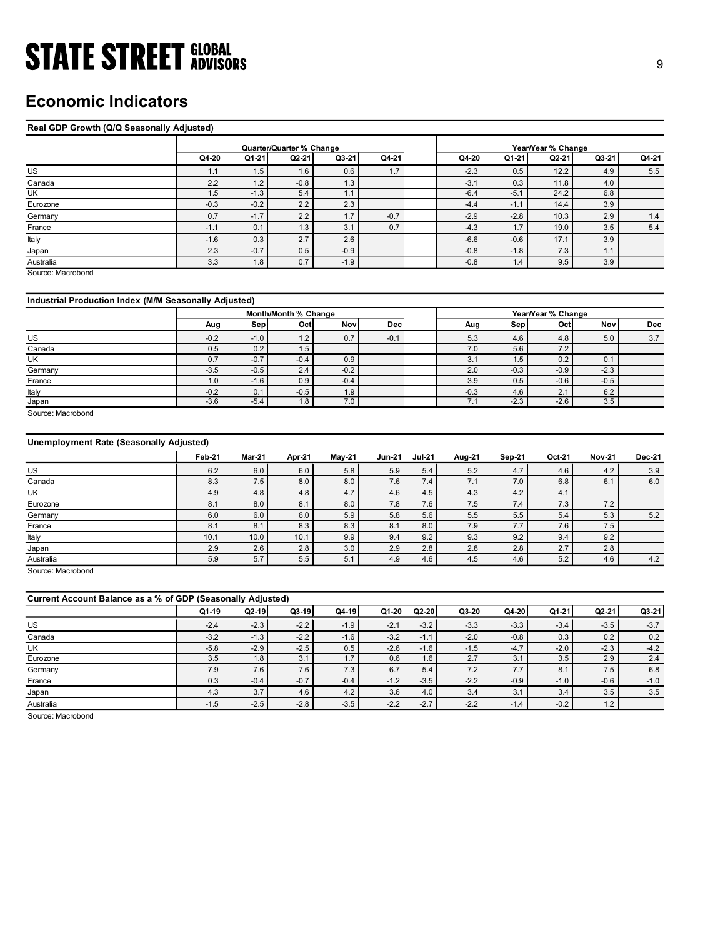## Economic Indicators

### Real GDP Growth (Q/Q Seasonally Adjusted)

| <b>STATE STREET GLOBAL</b>                            |               |               |                          |               |          |          |            |                |                    |                  |               |
|-------------------------------------------------------|---------------|---------------|--------------------------|---------------|----------|----------|------------|----------------|--------------------|------------------|---------------|
|                                                       |               |               |                          |               |          |          |            |                |                    |                  | 9             |
|                                                       |               |               |                          |               |          |          |            |                |                    |                  |               |
|                                                       |               |               |                          |               |          |          |            |                |                    |                  |               |
| <b>Economic Indicators</b>                            |               |               |                          |               |          |          |            |                |                    |                  |               |
|                                                       |               |               |                          |               |          |          |            |                |                    |                  |               |
| Real GDP Growth (Q/Q Seasonally Adjusted)             |               |               |                          |               |          |          |            |                |                    |                  |               |
|                                                       |               |               |                          |               |          |          |            |                |                    |                  |               |
|                                                       |               |               | Quarter/Quarter % Change |               |          |          |            |                | Year/Year % Change |                  |               |
|                                                       | Q4-20         | Q1-21         | Q2-21                    | $Q3-21$       | Q4-21    |          | Q4-20      | Q1-21          | Q2-21              | Q3-21            | Q4-21         |
| $\overline{US}$                                       | 1.1           | 1.5           | 1.6                      | 0.6           | 1.7      |          | $-2.3$     | 0.5            | 12.2               | 4.9              | 5.5           |
| Canada                                                | 2.2           | 1.2           | $-0.8$                   | 1.3           |          |          | $-3.1$     | 0.3            | 11.8               | 4.0              |               |
| UK                                                    | 1.5           | $-1.3$        | 5.4                      | 1.1           |          |          | $-6.4$     | $-5.1$         | 24.2               | 6.8              |               |
| Eurozone                                              | $-0.3$        | $-0.2$        | 2.2                      | 2.3           |          |          | $-4.4$     | $-1.1$         | 14.4               | 3.9              |               |
| Germany                                               | 0.7           | $-1.7$        | 2.2                      | 1.7           | $-0.7$   |          | $-2.9$     | $-2.8$         | 10.3               | 2.9              | $1.4$         |
| France                                                | $-1.1$        | 0.1           | 1.3                      | 3.1           | 0.7      |          | $-4.3$     | 1.7            | 19.0               | 3.5              | 5.4           |
| Italy                                                 | $-1.6$        | 0.3           | 2.7                      | 2.6           |          |          | $-6.6$     | $-0.6$         | 17.1               | 3.9              |               |
| Japan                                                 | 2.3           | $-0.7$        | 0.5                      | $-0.9$        |          |          | $-0.8$     | $-1.8$         | 7.3                | 1.1              |               |
| Australia<br>Source: Macrobond                        | 3.3           | 1.8           | 0.7                      | $-1.9$        |          |          | $-0.8$     | 1.4            | 9.5                | 3.9              |               |
|                                                       |               |               |                          |               |          |          |            |                |                    |                  |               |
|                                                       |               |               |                          |               |          |          |            |                |                    |                  |               |
| Industrial Production Index (M/M Seasonally Adjusted) |               |               |                          |               |          |          |            |                |                    |                  |               |
|                                                       |               |               | Month/Month % Change     |               |          |          |            |                | Year/Year % Change |                  |               |
|                                                       | Aug           | Sep           | Oct                      | Nov           | Dec      |          | Aug        | Sep            | Oct                | Nov              | Dec           |
| US                                                    | $-0.2$        | $-1.0$        | $1.2$                    | 0.7           | $-0.1$   |          | 5.3        | 4.6            | 4.8                | 5.0              | 3.7           |
| Canada                                                | 0.5           | 0.2           | 1.5                      |               |          |          | 7.0        | 5.6            | 7.2                |                  |               |
| UK                                                    | 0.7           | $-0.7$        | $-0.4$                   | 0.9           |          |          | 3.1        | 1.5            | 0.2                | 0.1              |               |
| Germany                                               | $-3.5$        | $-0.5$        | 2.4<br>0.9               | $-0.2$        |          |          | 2.0<br>3.9 | $-0.3$         | $-0.9$<br>$-0.6$   | $-2.3$<br>$-0.5$ |               |
| France<br>Italy                                       | 1.0<br>$-0.2$ | $-1.6$<br>0.1 | $-0.5$                   | $-0.4$<br>1.9 |          |          | $-0.3$     | 0.5<br>$4.6\,$ | 2.1                | $6.2\,$          |               |
| Japan                                                 | $-3.6$        | $-5.4$        | 1.8                      | 7.0           |          |          | 7.1        | $-2.3$         | $-2.6$             | 3.5              |               |
| Source: Macrobond                                     |               |               |                          |               |          |          |            |                |                    |                  |               |
|                                                       |               |               |                          |               |          |          |            |                |                    |                  |               |
|                                                       |               |               |                          |               |          |          |            |                |                    |                  |               |
| Unemployment Rate (Seasonally Adjusted)               |               |               |                          |               |          |          |            |                |                    |                  |               |
|                                                       | <b>Feb-21</b> | <b>Mar-21</b> | Apr-21                   | <b>May-21</b> | $Jun-21$ | $Jul-21$ | Aug-21     | <b>Sep-21</b>  | Oct-21             | <b>Nov-21</b>    | <b>Dec-21</b> |
| US                                                    | $6.2\,$       | $6.0\,$       | $6.0\,$                  | $5.8\,$       | $5.9\,$  | $5.4$    | $5.2\,$    | $4.7\,$        | $4.6\,$            | $4.2\,$          | 3.9           |
| Canada                                                | 8.3           | 7.5           | $8.0\,$                  | 8.0           | 7.6      | 7.4      | 7.1        | 7.0            | 6.8                | 6.1              | 6.0           |
| $\overline{\mathsf{UK}}$                              | 4.9           | 4.8           | $4.8\,$                  | 4.7           | 4.6      | 4.5      | 4.3        | 4.2            | 4.1                |                  |               |
| Eurozone                                              | 8.1           | 8.0           | 8.1                      | 8.0           | 7.8      | 7.6      | 7.5        | $7.4$          | 7.3                | 7.2              |               |
|                                                       | $6.0\,$       | 6.0           | $6.0\,$                  | $5.9\,$       | 5.8      | $5.6\,$  | $5.5$      | $5.5$          | 5.4                | $5.3$            | 5.2           |
| Germany                                               |               |               |                          |               |          |          |            |                |                    |                  |               |
| France                                                | 8.1           | 8.1           | $8.3\,$                  | 8.3           | 8.1      | 8.0      | 7.9        | 7.7            | 7.6                | 7.5              |               |

### Industrial Production Index (M/M Seasonally Adjusted)

|         |        |        | Month/Month % Change |            |            |              |        | Year/Year % Change |        |     |
|---------|--------|--------|----------------------|------------|------------|--------------|--------|--------------------|--------|-----|
|         | Aug    | Sep    | Octl                 | <b>Nov</b> | <b>Dec</b> | Aug          | Sep    | Octl               | Nov    | Dec |
| US      | $-0.2$ | $-1.0$ | 1.2                  | 0.7        | $-0.1$     | 5.3          | 4.6    | 4.8                | 5.0    | 3.7 |
| Canada  | 0.5    | 0.2    | $1.5\,$              |            |            | 7.0          | 5.6    | 7.2                |        |     |
| UK      | 0.7    | $-0.7$ | $-0.4$               | 0.9        |            | $\sim$<br>◡. | 1.5    | 0.2                | 0.1    |     |
| Germany | $-3.5$ | $-0.5$ | 2.4                  | $-0.2$     |            | 2.0          | $-0.3$ | $-0.9$             | $-2.3$ |     |
| France  | 1.0    | $-1.6$ | 0.9                  | $-0.4$     |            | 3.9          | 0.5    | $-0.6$             | $-0.5$ |     |
| Italy   | $-0.2$ | 0.1    | $-0.5$               | 1.9        |            | $-0.3$       | 4.6    | 2.1                | 6.2    |     |
| Japan   | $-3.6$ | $-5.4$ | 1.8                  | 7.0        |            |              | $-2.3$ | $-2.6$             | 3.5    |     |

### Unemployment Rate (Seasonally Adjusted)

|                                                                     |        |               | Month/Month % Change |               |               |               |         |               | Year/Year % Change |               |               |
|---------------------------------------------------------------------|--------|---------------|----------------------|---------------|---------------|---------------|---------|---------------|--------------------|---------------|---------------|
|                                                                     | Aug    | Sep           | Oct                  | <b>Nov</b>    | Dec           |               | Aug     | Sep           | Oct <sub>1</sub>   | Nov           | Dec           |
| US                                                                  | $-0.2$ | $-1.0$        | 1.2                  | 0.7           | $-0.1$        |               | 5.3     | 4.6           | 4.8                | 5.0           | 3.7           |
| Canada                                                              | 0.5    | 0.2           | 1.5                  |               |               |               | 7.0     | 5.6           | 7.2                |               |               |
| UK                                                                  | 0.7    | $-0.7$        | $-0.4$               | 0.9           |               |               | 3.1     | 1.5           | 0.2                | 0.1           |               |
| Germany                                                             | $-3.5$ | $-0.5$        | 2.4                  | $-0.2$        |               |               | 2.0     | $-0.3$        | $-0.9$             | $-2.3$        |               |
| France                                                              | 1.0    | $-1.6$        | 0.9                  | $-0.4$        |               |               | 3.9     | 0.5           | $-0.6$             | $-0.5$        |               |
| ltaly<br>Japan                                                      | $-0.2$ | 0.1           | $-0.5$               | 1.9           |               |               | $-0.3$  | 4.6           | 2.1                | 6.2           |               |
|                                                                     | $-3.6$ | $-5.4$        | 1.8                  | 7.0           |               |               | 7.1     | $-2.3$        | $-2.6$             | 3.5           |               |
| Source: Macrobond<br><b>Unemployment Rate (Seasonally Adjusted)</b> |        |               |                      |               |               |               |         |               |                    |               |               |
|                                                                     | Feb-21 | <b>Mar-21</b> | Apr-21               | <b>May-21</b> | <b>Jun-21</b> | <b>Jul-21</b> | Aug-21  | <b>Sep-21</b> | Oct-21             | <b>Nov-21</b> | <b>Dec-21</b> |
| US                                                                  | 6.2    | 6.0           | 6.0                  | 5.8           | 5.9           | 5.4           | 5.2     | 4.7           | 4.6                | 4.2           | 3.9           |
| Canada                                                              | 8.3    | 7.5           | 8.0                  | 8.0           | 7.6           | 7.4           | 7.1     | 7.0           | 6.8                | 6.1           | 6.0           |
| UK                                                                  | 4.9    | 4.8           | 4.8                  | 4.7           | 4.6           | 4.5           | 4.3     | 4.2           | 4.1                |               |               |
| Eurozone                                                            | 8.1    | 8.0           | 8.1                  | 8.0           | 7.8           | 7.6           | 7.5     | 7.4           | 7.3                | 7.2           |               |
| Germany                                                             | 6.0    | 6.0           | 6.0                  | 5.9           | 5.8           | 5.6           | 5.5     | 5.5           | 5.4                | 5.3           | 5.2           |
| France                                                              | 8.1    | 8.1           | 8.3                  | 8.3           | 8.1           | 8.0           | 7.9     | 7.7           | 7.6                | 7.5           |               |
| Italy                                                               | 10.1   | 10.0          | 10.1                 | 9.9           | 9.4           | 9.2           | 9.3     | 9.2           | 9.4                | 9.2           |               |
| Japan                                                               | 2.9    | 2.6           | 2.8                  | 3.0           | 2.9           | 2.8           | 2.8     | 2.8           | 2.7                | 2.8           |               |
| Australia                                                           | 5.9    | 5.7           | 5.5                  | 5.1           | 4.9           | 4.6           | 4.5     | 4.6           | 5.2                | 4.6           | 4.2           |
| Source: Macrobond                                                   |        |               |                      |               |               |               |         |               |                    |               |               |
|                                                                     |        |               |                      |               |               |               |         |               |                    |               |               |
| Current Account Balance as a % of GDP (Seasonally Adjusted)         |        |               |                      |               |               |               |         |               |                    |               |               |
|                                                                     | Q1-19  | Q2-19         | $Q3-19$              | $Q4-19$       | $Q1-20$       | Q2-20         | $Q3-20$ | $Q4-20$       | $Q1-21$            | $Q2-21$       | $Q3-21$       |
| US                                                                  | $-2.4$ | $-2.3$        | $-2.2$               | $-1.9$        | $-2.1$        | $-3.2$        | $-3.3$  | $-3.3$        | $-3.4$             | $-3.5$        | $-3.7$        |
| Canada                                                              | $-3.2$ | $-1.3$        | $-2.2$               | $-1.6$        | $-3.2$        | $-1.1$        | $-2.0$  | $-0.8$        | 0.3                | 0.2           | 0.2           |
| UK                                                                  | $-5.8$ | $-2.9$        | $-2.5$               | 0.5           | $-2.6$        | $-1.6$        | $-1.5$  | $-4.7$        | $-2.0$             | $-2.3$        | $-4.2$        |
| Eurozone                                                            | 3.5    | 1.8           | 3.1                  | 1.7           | 0.6           | 1.6           | 2.7     | 3.1           | 3.5                | 2.9           | 2.4           |
| Germany                                                             | 7.9    | 7.6           | 7.6                  | $7.3$         | 6.7           | 5.4           | 7.2     | 7.7           | 8.1                | 7.5           | $6.8\,$       |
| France                                                              | 0.3    | $-0.4$        | $-0.7$               | $-0.4$        | $-1.2$        | $-3.5$        | $-2.2$  | $-0.9$        | $-1.0$             | $-0.6$        | $-1.0$        |
| Japan                                                               | 4.3    | 3.7           | 4.6                  | 4.2           | $3.6\,$       | 4.0           | 3.4     | 3.1           | 3.4                | 3.5           | 3.5           |
|                                                                     |        |               |                      |               |               |               |         |               |                    |               |               |

| US                                                          | $-0.2$        | $-1.0$        | $1.2$         | 0.7               | $-0.1$        |               | 5.3           | 4.6           | $4.8\,$           | 5.0           | 3.7           |
|-------------------------------------------------------------|---------------|---------------|---------------|-------------------|---------------|---------------|---------------|---------------|-------------------|---------------|---------------|
| Canada                                                      | 0.5           | 0.2           | 1.5           |                   |               |               | 7.0           | 5.6           | 7.2               |               |               |
| UK                                                          | 0.7           | $-0.7$        | $-0.4$        | 0.9               |               |               | 3.1           | 1.5           | 0.2               | 0.1           |               |
| Germany                                                     | $-3.5$        | $-0.5$        | 2.4           | $-0.2$            |               |               | 2.0           | $-0.3$        | $-0.9$            | $-2.3$        |               |
| France                                                      | 1.0           | $-1.6$        | 0.9           | $-0.4$            |               |               | 3.9           | 0.5           | $-0.6$            | $-0.5$        |               |
| Italy                                                       | $-0.2$        | 0.1           | $-0.5$        | 1.9               |               |               | $-0.3$        | 4.6           | 2.1               | 6.2           |               |
| Japan                                                       | $-3.6$        | $-5.4$        | 1.8           | 7.0               |               |               | 7.1           | $-2.3$        | $-2.6$            | 3.5           |               |
| Source: Macrobond                                           |               |               |               |                   |               |               |               |               |                   |               |               |
| <b>Unemployment Rate (Seasonally Adjusted)</b>              |               |               |               |                   |               |               |               |               |                   |               |               |
|                                                             | Feb-21        | <b>Mar-21</b> | Apr-21        | May-21            | <b>Jun-21</b> | $Jul-21$      | Aug-21        | Sep-21        | Oct-21            | <b>Nov-21</b> | <b>Dec-21</b> |
| US                                                          | 6.2           | 6.0           | 6.0           | 5.8               | 5.9           | 5.4           | 5.2           | 4.7           | 4.6               | 4.2           | 3.9           |
| Canada                                                      | 8.3           | 7.5           | 8.0           | 8.0               | 7.6           | 7.4           | 7.1           | 7.0           | 6.8               | 6.1           | 6.0           |
| UK                                                          | 4.9           | 4.8           | 4.8           | 4.7               | 4.6           | 4.5           | $4.3$         | $4.2\,$       | 4.1               |               |               |
| Eurozone                                                    | 8.1           | 8.0           | 8.1           | 8.0               | 7.8           | 7.6           | 7.5           | 7.4           | $7.3$             | 7.2           |               |
| Germany                                                     | 6.0           | 6.0           | 6.0           | 5.9               | 5.8           | 5.6           | 5.5           | 5.5           | 5.4               | 5.3           | $5.2\,$       |
| France                                                      | 8.1           | 8.1           | 8.3           | 8.3               | 8.1           | 8.0           | 7.9           | 7.7           | 7.6               | 7.5           |               |
|                                                             |               |               |               |                   |               |               | 9.3           | 9.2           | 9.4               | 9.2           |               |
|                                                             |               |               |               |                   |               |               |               |               |                   |               |               |
| Italy                                                       | 10.1          | 10.0          | 10.1          | 9.9               | 9.4           | 9.2           |               |               |                   |               |               |
| Japan                                                       | 2.9           | 2.6<br>5.7    | 2.8           | 3.0               | 2.9<br>4.9    | 2.8           | 2.8           | 2.8           | 2.7               | 2.8           |               |
| Australia                                                   | 5.9           |               | 5.5           | 5.1               |               | 4.6           | 4.5           | 4.6           | $5.2$             | 4.6           | 4.2           |
| Source: Macrobond                                           |               |               |               |                   |               |               |               |               |                   |               |               |
|                                                             |               |               |               |                   |               |               |               |               |                   |               |               |
| Current Account Balance as a % of GDP (Seasonally Adjusted) |               |               |               |                   |               |               |               |               |                   |               |               |
|                                                             | $Q1-19$       | $Q2-19$       | $Q3-19$       | $Q4-19$           | $Q1-20$       | $Q2-20$       | Q3-20         | $Q4-20$       | Q1-21             | $Q2-21$       | Q3-21         |
| US                                                          | $-2.4$        | $-2.3$        | $-2.2$        | $-1.9$            | $-2.1$        | $-3.2$        | $-3.3$        | $-3.3$        | $-3.4$            | $-3.5$        | $-3.7$        |
| Canada                                                      | $-3.2$        | $-1.3$        | $-2.2$        | $-1.6$            | $-3.2$        | $-1.1$        | $-2.0$        | $-0.8$        | 0.3               | 0.2           | $0.2\,$       |
| UK                                                          | $-5.8$        | $-2.9$        | $-2.5$        | 0.5               | $-2.6$        | $-1.6$        | $-1.5$        | $-4.7$        | $-2.0$            | $-2.3$        | $-4.2$        |
| Eurozone                                                    | 3.5           | 1.8           | 3.1           | 1.7               | 0.6           | 1.6           | 2.7           | 3.1           | 3.5               | 2.9           | 2.4           |
| Germany                                                     | 7.9           | 7.6           | 7.6           | 7.3               | 6.7           | 5.4           | $7.2\,$       | 7.7           | 8.1               | 7.5           | $6.8\,$       |
| France                                                      | 0.3           | $-0.4$        | $-0.7$        | $-0.4$            | $-1.2$        | $-3.5$        | $-2.2$        | $-0.9$        | $-1.0$            | $-0.6$        | $-1.0$        |
| Japan<br>Australia                                          | 4.3<br>$-1.5$ | 3.7<br>$-2.5$ | 4.6<br>$-2.8$ | $4.2\,$<br>$-3.5$ | 3.6<br>$-2.2$ | 4.0<br>$-2.7$ | 3.4<br>$-2.2$ | 3.1<br>$-1.4$ | $3.4\,$<br>$-0.2$ | 3.5<br>$1.2$  | 3.5           |